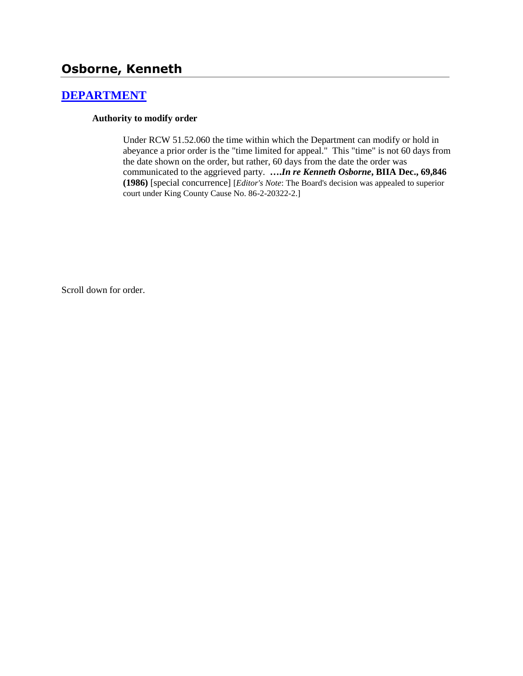# **Osborne, Kenneth**

## **[DEPARTMENT](http://www.biia.wa.gov/SDSubjectIndex.html#DEPARTMENT)**

#### **Authority to modify order**

Under RCW 51.52.060 the time within which the Department can modify or hold in abeyance a prior order is the "time limited for appeal." This "time" is not 60 days from the date shown on the order, but rather, 60 days from the date the order was communicated to the aggrieved party. **….***In re Kenneth Osborne***, BIIA Dec., 69,846 (1986)** [special concurrence] [*Editor's Note*: The Board's decision was appealed to superior court under King County Cause No. 86-2-20322-2.]

Scroll down for order.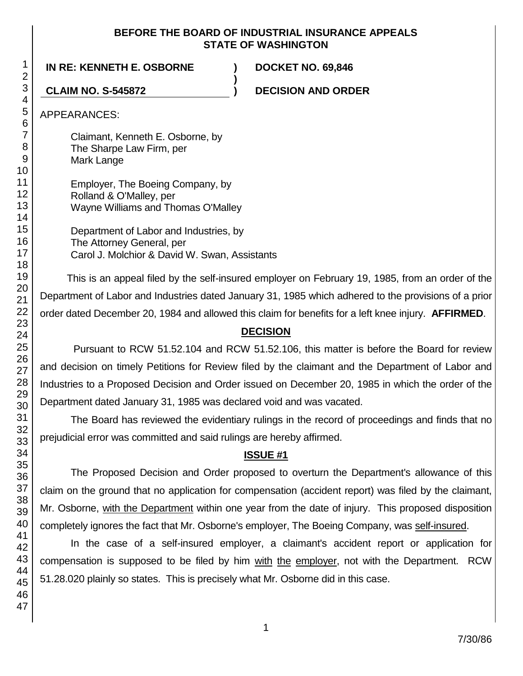#### **BEFORE THE BOARD OF INDUSTRIAL INSURANCE APPEALS STATE OF WASHINGTON**

**)**

**IN RE: KENNETH E. OSBORNE ) DOCKET NO. 69,846**

**CLAIM NO. S-545872 ) DECISION AND ORDER**

APPEARANCES:

Claimant, Kenneth E. Osborne, by The Sharpe Law Firm, per Mark Lange

Employer, The Boeing Company, by Rolland & O'Malley, per Wayne Williams and Thomas O'Malley

Department of Labor and Industries, by The Attorney General, per Carol J. Molchior & David W. Swan, Assistants

This is an appeal filed by the self-insured employer on February 19, 1985, from an order of the Department of Labor and Industries dated January 31, 1985 which adhered to the provisions of a prior order dated December 20, 1984 and allowed this claim for benefits for a left knee injury. **AFFIRMED**.

## **DECISION**

Pursuant to RCW 51.52.104 and RCW 51.52.106, this matter is before the Board for review and decision on timely Petitions for Review filed by the claimant and the Department of Labor and Industries to a Proposed Decision and Order issued on December 20, 1985 in which the order of the Department dated January 31, 1985 was declared void and was vacated.

The Board has reviewed the evidentiary rulings in the record of proceedings and finds that no prejudicial error was committed and said rulings are hereby affirmed.

## **ISSUE #1**

The Proposed Decision and Order proposed to overturn the Department's allowance of this claim on the ground that no application for compensation (accident report) was filed by the claimant, Mr. Osborne, with the Department within one year from the date of injury. This proposed disposition completely ignores the fact that Mr. Osborne's employer, The Boeing Company, was self-insured.

In the case of a self-insured employer, a claimant's accident report or application for compensation is supposed to be filed by him with the employer, not with the Department. RCW 51.28.020 plainly so states. This is precisely what Mr. Osborne did in this case.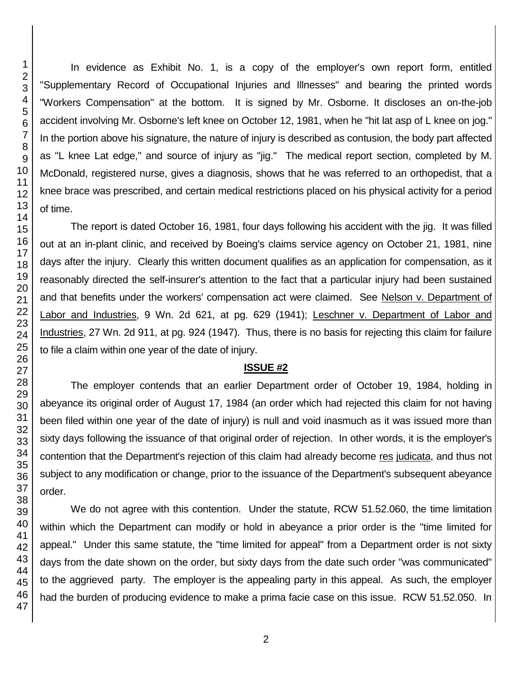In evidence as Exhibit No. 1, is a copy of the employer's own report form, entitled "Supplementary Record of Occupational Injuries and Illnesses" and bearing the printed words "Workers Compensation" at the bottom. It is signed by Mr. Osborne. It discloses an on-the-job accident involving Mr. Osborne's left knee on October 12, 1981, when he "hit lat asp of L knee on jog." In the portion above his signature, the nature of injury is described as contusion, the body part affected as "L knee Lat edge," and source of injury as "jig." The medical report section, completed by M. McDonald, registered nurse, gives a diagnosis, shows that he was referred to an orthopedist, that a knee brace was prescribed, and certain medical restrictions placed on his physical activity for a period of time.

The report is dated October 16, 1981, four days following his accident with the jig. It was filled out at an in-plant clinic, and received by Boeing's claims service agency on October 21, 1981, nine days after the injury. Clearly this written document qualifies as an application for compensation, as it reasonably directed the self-insurer's attention to the fact that a particular injury had been sustained and that benefits under the workers' compensation act were claimed. See Nelson v. Department of Labor and Industries, 9 Wn. 2d 621, at pg. 629 (1941); Leschner v. Department of Labor and Industries, 27 Wn. 2d 911, at pg. 924 (1947). Thus, there is no basis for rejecting this claim for failure to file a claim within one year of the date of injury.

#### **ISSUE #2**

The employer contends that an earlier Department order of October 19, 1984, holding in abeyance its original order of August 17, 1984 (an order which had rejected this claim for not having been filed within one year of the date of injury) is null and void inasmuch as it was issued more than sixty days following the issuance of that original order of rejection. In other words, it is the employer's contention that the Department's rejection of this claim had already become res judicata, and thus not subject to any modification or change, prior to the issuance of the Department's subsequent abeyance order.

We do not agree with this contention. Under the statute, RCW 51.52.060, the time limitation within which the Department can modify or hold in abeyance a prior order is the "time limited for appeal." Under this same statute, the "time limited for appeal" from a Department order is not sixty days from the date shown on the order, but sixty days from the date such order "was communicated" to the aggrieved party. The employer is the appealing party in this appeal. As such, the employer had the burden of producing evidence to make a prima facie case on this issue. RCW 51.52.050. In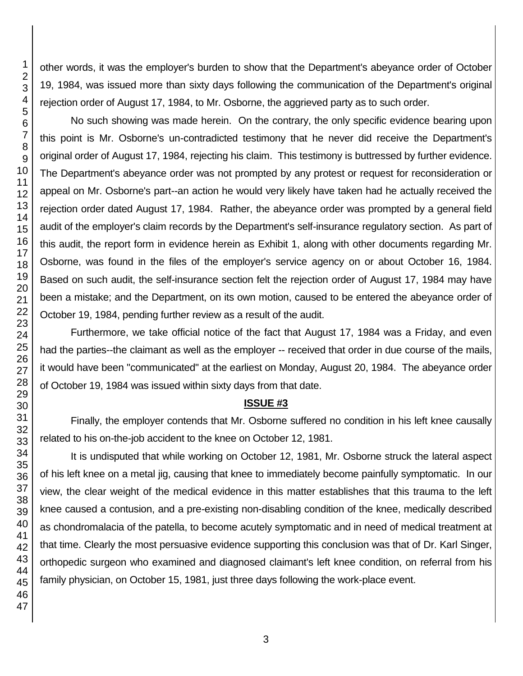other words, it was the employer's burden to show that the Department's abeyance order of October 19, 1984, was issued more than sixty days following the communication of the Department's original rejection order of August 17, 1984, to Mr. Osborne, the aggrieved party as to such order.

No such showing was made herein. On the contrary, the only specific evidence bearing upon this point is Mr. Osborne's un-contradicted testimony that he never did receive the Department's original order of August 17, 1984, rejecting his claim. This testimony is buttressed by further evidence. The Department's abeyance order was not prompted by any protest or request for reconsideration or appeal on Mr. Osborne's part--an action he would very likely have taken had he actually received the rejection order dated August 17, 1984. Rather, the abeyance order was prompted by a general field audit of the employer's claim records by the Department's self-insurance regulatory section. As part of this audit, the report form in evidence herein as Exhibit 1, along with other documents regarding Mr. Osborne, was found in the files of the employer's service agency on or about October 16, 1984. Based on such audit, the self-insurance section felt the rejection order of August 17, 1984 may have been a mistake; and the Department, on its own motion, caused to be entered the abeyance order of October 19, 1984, pending further review as a result of the audit.

Furthermore, we take official notice of the fact that August 17, 1984 was a Friday, and even had the parties--the claimant as well as the employer -- received that order in due course of the mails, it would have been "communicated" at the earliest on Monday, August 20, 1984. The abeyance order of October 19, 1984 was issued within sixty days from that date.

#### **ISSUE #3**

Finally, the employer contends that Mr. Osborne suffered no condition in his left knee causally related to his on-the-job accident to the knee on October 12, 1981.

It is undisputed that while working on October 12, 1981, Mr. Osborne struck the lateral aspect of his left knee on a metal jig, causing that knee to immediately become painfully symptomatic. In our view, the clear weight of the medical evidence in this matter establishes that this trauma to the left knee caused a contusion, and a pre-existing non-disabling condition of the knee, medically described as chondromalacia of the patella, to become acutely symptomatic and in need of medical treatment at that time. Clearly the most persuasive evidence supporting this conclusion was that of Dr. Karl Singer, orthopedic surgeon who examined and diagnosed claimant's left knee condition, on referral from his family physician, on October 15, 1981, just three days following the work-place event.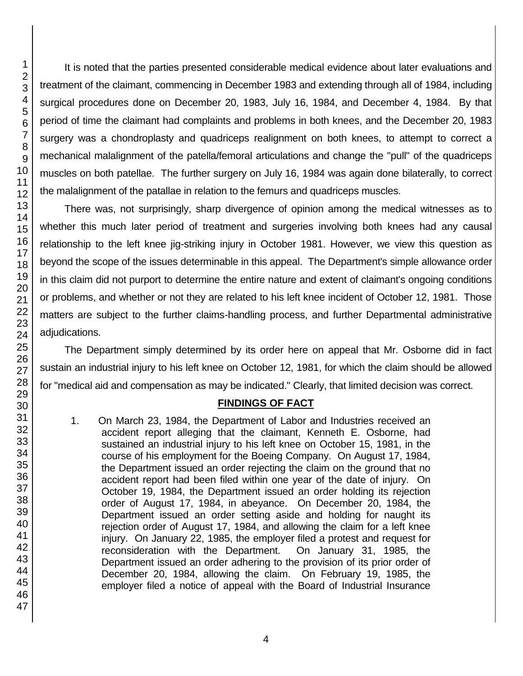It is noted that the parties presented considerable medical evidence about later evaluations and treatment of the claimant, commencing in December 1983 and extending through all of 1984, including surgical procedures done on December 20, 1983, July 16, 1984, and December 4, 1984. By that period of time the claimant had complaints and problems in both knees, and the December 20, 1983 surgery was a chondroplasty and quadriceps realignment on both knees, to attempt to correct a mechanical malalignment of the patella/femoral articulations and change the "pull" of the quadriceps muscles on both patellae. The further surgery on July 16, 1984 was again done bilaterally, to correct the malalignment of the patallae in relation to the femurs and quadriceps muscles.

There was, not surprisingly, sharp divergence of opinion among the medical witnesses as to whether this much later period of treatment and surgeries involving both knees had any causal relationship to the left knee jig-striking injury in October 1981. However, we view this question as beyond the scope of the issues determinable in this appeal. The Department's simple allowance order in this claim did not purport to determine the entire nature and extent of claimant's ongoing conditions or problems, and whether or not they are related to his left knee incident of October 12, 1981. Those matters are subject to the further claims-handling process, and further Departmental administrative adjudications.

The Department simply determined by its order here on appeal that Mr. Osborne did in fact sustain an industrial injury to his left knee on October 12, 1981, for which the claim should be allowed for "medical aid and compensation as may be indicated." Clearly, that limited decision was correct.

### **FINDINGS OF FACT**

1. On March 23, 1984, the Department of Labor and Industries received an accident report alleging that the claimant, Kenneth E. Osborne, had sustained an industrial injury to his left knee on October 15, 1981, in the course of his employment for the Boeing Company. On August 17, 1984, the Department issued an order rejecting the claim on the ground that no accident report had been filed within one year of the date of injury. On October 19, 1984, the Department issued an order holding its rejection order of August 17, 1984, in abeyance. On December 20, 1984, the Department issued an order setting aside and holding for naught its rejection order of August 17, 1984, and allowing the claim for a left knee injury. On January 22, 1985, the employer filed a protest and request for reconsideration with the Department. On January 31, 1985, the Department issued an order adhering to the provision of its prior order of December 20, 1984, allowing the claim. On February 19, 1985, the employer filed a notice of appeal with the Board of Industrial Insurance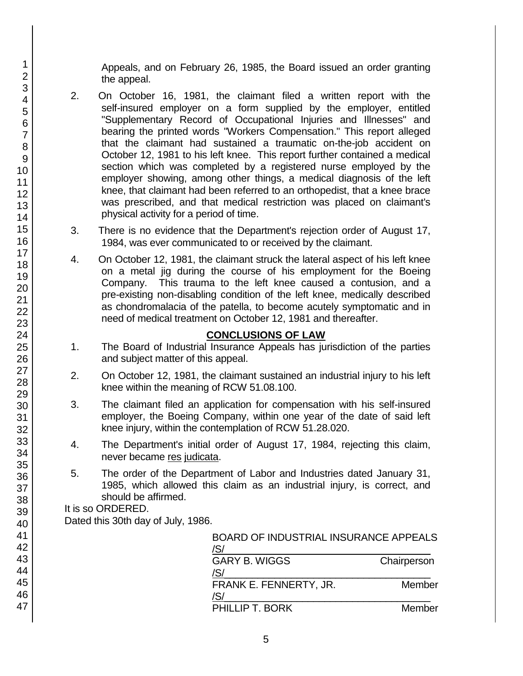Appeals, and on February 26, 1985, the Board issued an order granting the appeal.

- 2. On October 16, 1981, the claimant filed a written report with the self-insured employer on a form supplied by the employer, entitled "Supplementary Record of Occupational Injuries and Illnesses" and bearing the printed words "Workers Compensation." This report alleged that the claimant had sustained a traumatic on-the-job accident on October 12, 1981 to his left knee. This report further contained a medical section which was completed by a registered nurse employed by the employer showing, among other things, a medical diagnosis of the left knee, that claimant had been referred to an orthopedist, that a knee brace was prescribed, and that medical restriction was placed on claimant's physical activity for a period of time.
- 3. There is no evidence that the Department's rejection order of August 17, 1984, was ever communicated to or received by the claimant.
- 4. On October 12, 1981, the claimant struck the lateral aspect of his left knee on a metal jig during the course of his employment for the Boeing Company. This trauma to the left knee caused a contusion, and a pre-existing non-disabling condition of the left knee, medically described as chondromalacia of the patella, to become acutely symptomatic and in need of medical treatment on October 12, 1981 and thereafter.

## **CONCLUSIONS OF LAW**

- 1. The Board of Industrial Insurance Appeals has jurisdiction of the parties and subject matter of this appeal.
- 2. On October 12, 1981, the claimant sustained an industrial injury to his left knee within the meaning of RCW 51.08.100.
- 3. The claimant filed an application for compensation with his self-insured employer, the Boeing Company, within one year of the date of said left knee injury, within the contemplation of RCW 51.28.020.
- 4. The Department's initial order of August 17, 1984, rejecting this claim, never became res judicata.
- 5. The order of the Department of Labor and Industries dated January 31, 1985, which allowed this claim as an industrial injury, is correct, and should be affirmed.

It is so ORDERED.

Dated this 30th day of July, 1986.

| <b>BOARD OF INDUSTRIAL INSURANCE APPEALS</b> |
|----------------------------------------------|
| Chairperson                                  |
|                                              |
| Member                                       |
|                                              |
|                                              |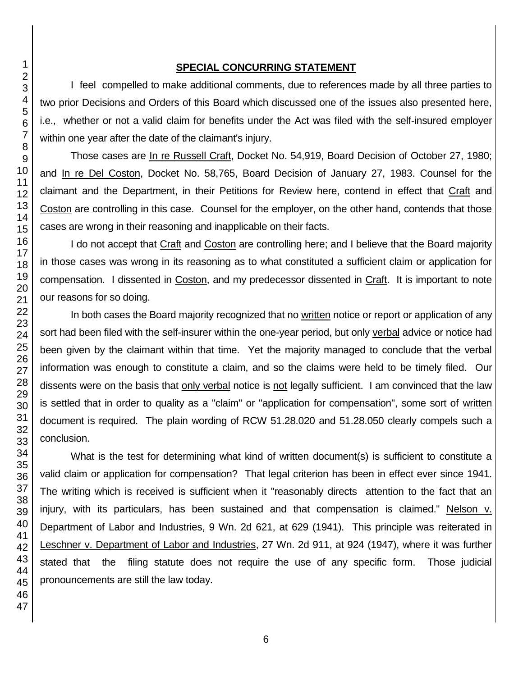#### **SPECIAL CONCURRING STATEMENT**

I feel compelled to make additional comments, due to references made by all three parties to two prior Decisions and Orders of this Board which discussed one of the issues also presented here, i.e., whether or not a valid claim for benefits under the Act was filed with the self-insured employer within one year after the date of the claimant's injury.

Those cases are In re Russell Craft, Docket No. 54,919, Board Decision of October 27, 1980; and In re Del Coston, Docket No. 58,765, Board Decision of January 27, 1983. Counsel for the claimant and the Department, in their Petitions for Review here, contend in effect that Craft and Coston are controlling in this case. Counsel for the employer, on the other hand, contends that those cases are wrong in their reasoning and inapplicable on their facts.

I do not accept that Craft and Coston are controlling here; and I believe that the Board majority in those cases was wrong in its reasoning as to what constituted a sufficient claim or application for compensation. I dissented in Coston, and my predecessor dissented in Craft. It is important to note our reasons for so doing.

In both cases the Board majority recognized that no written notice or report or application of any sort had been filed with the self-insurer within the one-year period, but only verbal advice or notice had been given by the claimant within that time. Yet the majority managed to conclude that the verbal information was enough to constitute a claim, and so the claims were held to be timely filed. Our dissents were on the basis that only verbal notice is not legally sufficient. I am convinced that the law is settled that in order to quality as a "claim" or "application for compensation", some sort of written document is required. The plain wording of RCW 51.28.020 and 51.28.050 clearly compels such a conclusion.

What is the test for determining what kind of written document(s) is sufficient to constitute a valid claim or application for compensation? That legal criterion has been in effect ever since 1941. The writing which is received is sufficient when it "reasonably directs attention to the fact that an injury, with its particulars, has been sustained and that compensation is claimed." Nelson v. Department of Labor and Industries, 9 Wn. 2d 621, at 629 (1941). This principle was reiterated in Leschner v. Department of Labor and Industries, 27 Wn. 2d 911, at 924 (1947), where it was further stated that the filing statute does not require the use of any specific form. Those judicial pronouncements are still the law today.